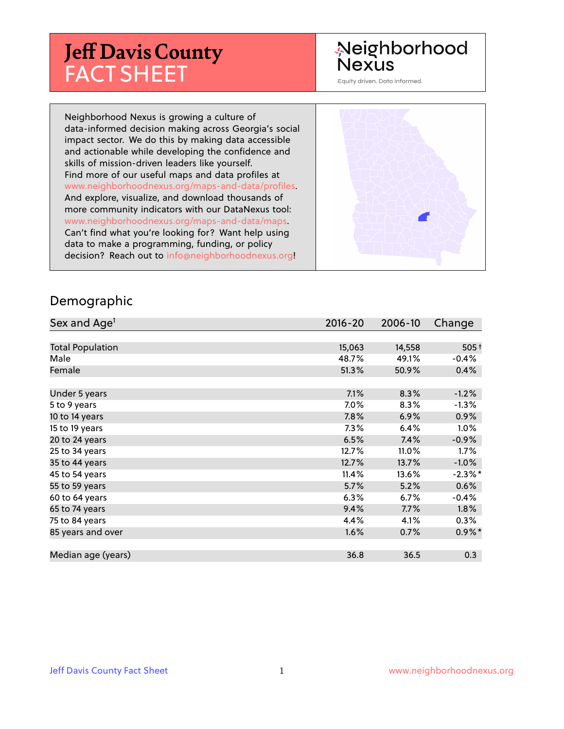# **Jeff Davis County** FACT SHEET

# Neighborhood **Nexus**

Equity driven. Data informed.

Neighborhood Nexus is growing a culture of data-informed decision making across Georgia's social impact sector. We do this by making data accessible and actionable while developing the confidence and skills of mission-driven leaders like yourself. Find more of our useful maps and data profiles at www.neighborhoodnexus.org/maps-and-data/profiles. And explore, visualize, and download thousands of more community indicators with our DataNexus tool: www.neighborhoodnexus.org/maps-and-data/maps. Can't find what you're looking for? Want help using data to make a programming, funding, or policy decision? Reach out to [info@neighborhoodnexus.org!](mailto:info@neighborhoodnexus.org)



#### Demographic

| Sex and Age <sup>1</sup> | $2016 - 20$ | 2006-10 | Change     |
|--------------------------|-------------|---------|------------|
|                          |             |         |            |
| <b>Total Population</b>  | 15,063      | 14,558  | $505+$     |
| Male                     | 48.7%       | 49.1%   | $-0.4%$    |
| Female                   | 51.3%       | 50.9%   | 0.4%       |
|                          |             |         |            |
| Under 5 years            | 7.1%        | 8.3%    | $-1.2%$    |
| 5 to 9 years             | 7.0%        | 8.3%    | $-1.3%$    |
| 10 to 14 years           | 7.8%        | 6.9%    | 0.9%       |
| 15 to 19 years           | 7.3%        | 6.4%    | 1.0%       |
| 20 to 24 years           | 6.5%        | 7.4%    | $-0.9%$    |
| 25 to 34 years           | 12.7%       | 11.0%   | 1.7%       |
| 35 to 44 years           | 12.7%       | 13.7%   | $-1.0%$    |
| 45 to 54 years           | 11.4%       | 13.6%   | $-2.3\%$ * |
| 55 to 59 years           | 5.7%        | 5.2%    | 0.6%       |
| 60 to 64 years           | 6.3%        | 6.7%    | $-0.4%$    |
| 65 to 74 years           | 9.4%        | 7.7%    | $1.8\%$    |
| 75 to 84 years           | 4.4%        | 4.1%    | 0.3%       |
| 85 years and over        | 1.6%        | 0.7%    | $0.9\%$ *  |
|                          |             |         |            |
| Median age (years)       | 36.8        | 36.5    | 0.3        |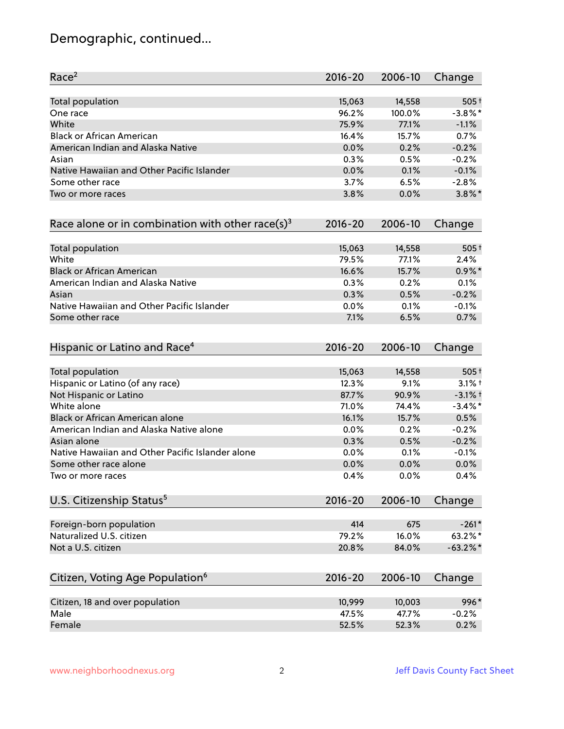# Demographic, continued...

| Race <sup>2</sup>                                            | $2016 - 20$ | 2006-10 | Change      |
|--------------------------------------------------------------|-------------|---------|-------------|
| <b>Total population</b>                                      | 15,063      | 14,558  | $505+$      |
| One race                                                     | 96.2%       | 100.0%  | $-3.8\%$ *  |
| White                                                        | 75.9%       | 77.1%   | $-1.1%$     |
| <b>Black or African American</b>                             | 16.4%       | 15.7%   | 0.7%        |
| American Indian and Alaska Native                            | 0.0%        | 0.2%    | $-0.2%$     |
| Asian                                                        | 0.3%        | 0.5%    | $-0.2%$     |
| Native Hawaiian and Other Pacific Islander                   | 0.0%        | 0.1%    | $-0.1%$     |
| Some other race                                              | 3.7%        | 6.5%    | $-2.8%$     |
| Two or more races                                            | 3.8%        | 0.0%    | $3.8\%$ *   |
| Race alone or in combination with other race(s) <sup>3</sup> | $2016 - 20$ | 2006-10 | Change      |
| Total population                                             | 15,063      | 14,558  | $505+$      |
| White                                                        | 79.5%       | 77.1%   | 2.4%        |
| <b>Black or African American</b>                             | 16.6%       | 15.7%   | $0.9\%$ *   |
| American Indian and Alaska Native                            | 0.3%        | 0.2%    | 0.1%        |
| Asian                                                        | 0.3%        | 0.5%    | $-0.2%$     |
| Native Hawaiian and Other Pacific Islander                   | 0.0%        | 0.1%    | $-0.1%$     |
| Some other race                                              | 7.1%        | 6.5%    | 0.7%        |
| Hispanic or Latino and Race <sup>4</sup>                     | $2016 - 20$ | 2006-10 | Change      |
| <b>Total population</b>                                      | 15,063      | 14,558  | $505+$      |
| Hispanic or Latino (of any race)                             | 12.3%       | 9.1%    | $3.1\%$ t   |
| Not Hispanic or Latino                                       | 87.7%       | 90.9%   | $-3.1%$ +   |
| White alone                                                  | 71.0%       | 74.4%   | $-3.4\%$ *  |
| Black or African American alone                              | 16.1%       | 15.7%   | 0.5%        |
| American Indian and Alaska Native alone                      | 0.0%        | 0.2%    | $-0.2%$     |
| Asian alone                                                  | 0.3%        | 0.5%    | $-0.2%$     |
| Native Hawaiian and Other Pacific Islander alone             | 0.0%        | 0.1%    | $-0.1%$     |
| Some other race alone                                        | 0.0%        | 0.0%    | 0.0%        |
| Two or more races                                            | 0.4%        | 0.0%    | 0.4%        |
| U.S. Citizenship Status <sup>5</sup>                         | $2016 - 20$ | 2006-10 | Change      |
| Foreign-born population                                      | 414         | 675     | $-261*$     |
| Naturalized U.S. citizen                                     | 79.2%       | 16.0%   | 63.2%*      |
| Not a U.S. citizen                                           | 20.8%       | 84.0%   | $-63.2\%$ * |
|                                                              |             |         |             |
| Citizen, Voting Age Population <sup>6</sup>                  | $2016 - 20$ | 2006-10 | Change      |
| Citizen, 18 and over population                              | 10,999      | 10,003  | 996*        |
| Male                                                         | 47.5%       | 47.7%   | $-0.2%$     |
| Female                                                       | 52.5%       | 52.3%   | 0.2%        |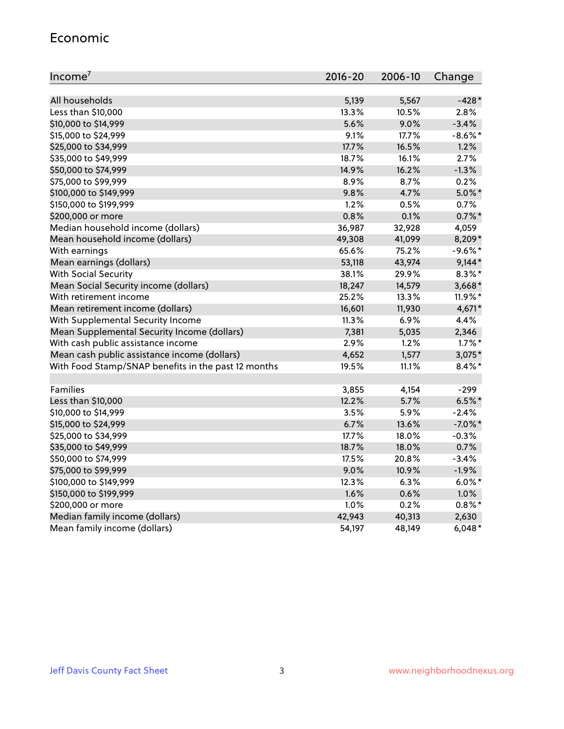#### Economic

| Income <sup>7</sup>                                 | $2016 - 20$ | 2006-10 | Change     |
|-----------------------------------------------------|-------------|---------|------------|
|                                                     |             |         |            |
| All households                                      | 5,139       | 5,567   | $-428*$    |
| Less than \$10,000                                  | 13.3%       | 10.5%   | 2.8%       |
| \$10,000 to \$14,999                                | 5.6%        | 9.0%    | $-3.4%$    |
| \$15,000 to \$24,999                                | 9.1%        | 17.7%   | $-8.6\%$ * |
| \$25,000 to \$34,999                                | 17.7%       | 16.5%   | 1.2%       |
| \$35,000 to \$49,999                                | 18.7%       | 16.1%   | 2.7%       |
| \$50,000 to \$74,999                                | 14.9%       | 16.2%   | $-1.3%$    |
| \$75,000 to \$99,999                                | 8.9%        | 8.7%    | 0.2%       |
| \$100,000 to \$149,999                              | 9.8%        | 4.7%    | $5.0\%$ *  |
| \$150,000 to \$199,999                              | 1.2%        | 0.5%    | 0.7%       |
| \$200,000 or more                                   | 0.8%        | 0.1%    | $0.7%$ *   |
| Median household income (dollars)                   | 36,987      | 32,928  | 4,059      |
| Mean household income (dollars)                     | 49,308      | 41,099  | 8,209*     |
| With earnings                                       | 65.6%       | 75.2%   | $-9.6%$ *  |
| Mean earnings (dollars)                             | 53,118      | 43,974  | $9,144*$   |
| <b>With Social Security</b>                         | 38.1%       | 29.9%   | $8.3\%$ *  |
| Mean Social Security income (dollars)               | 18,247      | 14,579  | 3,668*     |
| With retirement income                              | 25.2%       | 13.3%   | 11.9%*     |
| Mean retirement income (dollars)                    | 16,601      | 11,930  | 4,671*     |
| With Supplemental Security Income                   | 11.3%       | 6.9%    | 4.4%       |
| Mean Supplemental Security Income (dollars)         | 7,381       | 5,035   | 2,346      |
| With cash public assistance income                  | 2.9%        | 1.2%    | $1.7\%$ *  |
| Mean cash public assistance income (dollars)        | 4,652       | 1,577   | $3,075*$   |
| With Food Stamp/SNAP benefits in the past 12 months | 19.5%       | 11.1%   | $8.4\%$ *  |
|                                                     |             |         |            |
| Families                                            | 3,855       | 4,154   | $-299$     |
| Less than \$10,000                                  | 12.2%       | 5.7%    | $6.5%$ *   |
| \$10,000 to \$14,999                                | 3.5%        | 5.9%    | $-2.4%$    |
| \$15,000 to \$24,999                                | 6.7%        | 13.6%   | $-7.0\%$ * |
| \$25,000 to \$34,999                                | 17.7%       | 18.0%   | $-0.3%$    |
| \$35,000 to \$49,999                                | 18.7%       | 18.0%   | 0.7%       |
| \$50,000 to \$74,999                                | 17.5%       | 20.8%   | $-3.4%$    |
| \$75,000 to \$99,999                                | 9.0%        | 10.9%   | $-1.9%$    |
| \$100,000 to \$149,999                              | 12.3%       | 6.3%    | $6.0\%$ *  |
| \$150,000 to \$199,999                              | 1.6%        | 0.6%    | 1.0%       |
| \$200,000 or more                                   | 1.0%        | 0.2%    | $0.8\%$ *  |
| Median family income (dollars)                      | 42,943      | 40,313  | 2,630      |
| Mean family income (dollars)                        | 54,197      | 48,149  | $6,048*$   |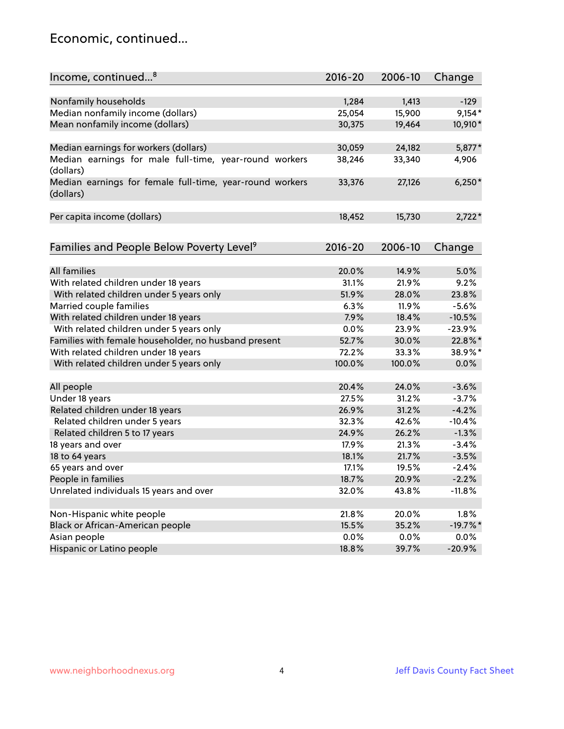#### Economic, continued...

| Income, continued <sup>8</sup>                                        | $2016 - 20$ | 2006-10 | Change     |
|-----------------------------------------------------------------------|-------------|---------|------------|
|                                                                       |             |         |            |
| Nonfamily households                                                  | 1,284       | 1,413   | $-129$     |
| Median nonfamily income (dollars)                                     | 25,054      | 15,900  | $9,154*$   |
| Mean nonfamily income (dollars)                                       | 30,375      | 19,464  | 10,910*    |
| Median earnings for workers (dollars)                                 | 30,059      | 24,182  | 5,877*     |
| Median earnings for male full-time, year-round workers                | 38,246      | 33,340  | 4,906      |
| (dollars)                                                             |             |         |            |
| Median earnings for female full-time, year-round workers<br>(dollars) | 33,376      | 27,126  | $6,250*$   |
| Per capita income (dollars)                                           | 18,452      | 15,730  | $2,722*$   |
|                                                                       |             |         |            |
| Families and People Below Poverty Level <sup>9</sup>                  | $2016 - 20$ | 2006-10 | Change     |
|                                                                       |             |         |            |
| <b>All families</b>                                                   | 20.0%       | 14.9%   | 5.0%       |
| With related children under 18 years                                  | 31.1%       | 21.9%   | 9.2%       |
| With related children under 5 years only                              | 51.9%       | 28.0%   | 23.8%      |
| Married couple families                                               | 6.3%        | 11.9%   | $-5.6%$    |
| With related children under 18 years                                  | 7.9%        | 18.4%   | $-10.5%$   |
| With related children under 5 years only                              | 0.0%        | 23.9%   | $-23.9%$   |
| Families with female householder, no husband present                  | 52.7%       | 30.0%   | 22.8%*     |
| With related children under 18 years                                  | 72.2%       | 33.3%   | 38.9%*     |
| With related children under 5 years only                              | 100.0%      | 100.0%  | 0.0%       |
| All people                                                            | 20.4%       | 24.0%   | $-3.6%$    |
| Under 18 years                                                        | 27.5%       | 31.2%   | $-3.7%$    |
| Related children under 18 years                                       | 26.9%       | 31.2%   | $-4.2%$    |
| Related children under 5 years                                        | 32.3%       | 42.6%   | $-10.4%$   |
| Related children 5 to 17 years                                        | 24.9%       | 26.2%   | $-1.3%$    |
| 18 years and over                                                     | 17.9%       | 21.3%   | $-3.4%$    |
| 18 to 64 years                                                        | 18.1%       | 21.7%   | $-3.5%$    |
| 65 years and over                                                     | 17.1%       | 19.5%   | $-2.4%$    |
| People in families                                                    | 18.7%       | 20.9%   | $-2.2%$    |
| Unrelated individuals 15 years and over                               | 32.0%       | 43.8%   | $-11.8%$   |
|                                                                       |             |         |            |
|                                                                       | 21.8%       |         | 1.8%       |
| Non-Hispanic white people                                             |             | 20.0%   | $-19.7%$ * |
| Black or African-American people                                      | 15.5%       | 35.2%   |            |
| Asian people                                                          | $0.0\%$     | 0.0%    | 0.0%       |
| Hispanic or Latino people                                             | 18.8%       | 39.7%   | $-20.9%$   |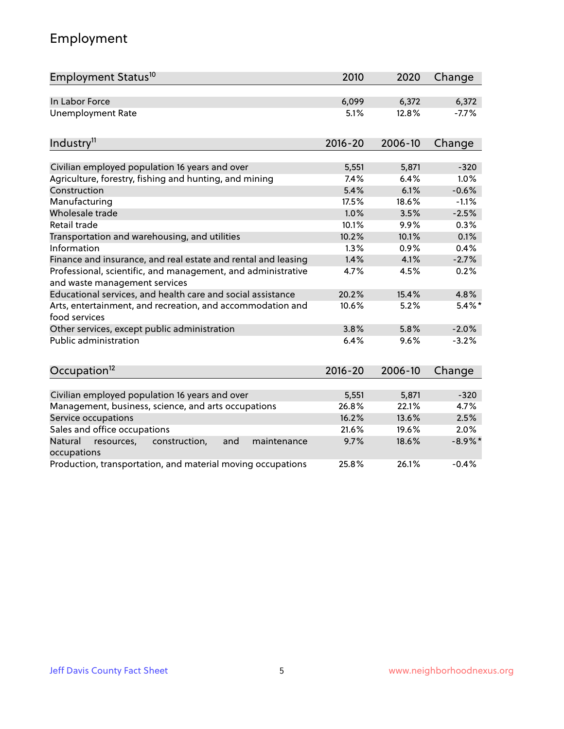# Employment

| Employment Status <sup>10</sup>                                                               | 2010        | 2020    | Change     |
|-----------------------------------------------------------------------------------------------|-------------|---------|------------|
| In Labor Force                                                                                | 6,099       | 6,372   | 6,372      |
| <b>Unemployment Rate</b>                                                                      | 5.1%        | 12.8%   | $-7.7%$    |
|                                                                                               |             |         |            |
| Industry <sup>11</sup>                                                                        | $2016 - 20$ | 2006-10 | Change     |
|                                                                                               |             |         |            |
| Civilian employed population 16 years and over                                                | 5,551       | 5,871   | $-320$     |
| Agriculture, forestry, fishing and hunting, and mining                                        | 7.4%        | 6.4%    | 1.0%       |
| Construction                                                                                  | 5.4%        | 6.1%    | $-0.6%$    |
| Manufacturing                                                                                 | 17.5%       | 18.6%   | $-1.1%$    |
| Wholesale trade                                                                               | 1.0%        | 3.5%    | $-2.5%$    |
| Retail trade                                                                                  | 10.1%       | 9.9%    | 0.3%       |
| Transportation and warehousing, and utilities                                                 | 10.2%       | 10.1%   | 0.1%       |
| Information                                                                                   | 1.3%        | 0.9%    | 0.4%       |
| Finance and insurance, and real estate and rental and leasing                                 | 1.4%        | 4.1%    | $-2.7%$    |
| Professional, scientific, and management, and administrative<br>and waste management services | 4.7%        | 4.5%    | 0.2%       |
| Educational services, and health care and social assistance                                   | 20.2%       | 15.4%   | 4.8%       |
| Arts, entertainment, and recreation, and accommodation and<br>food services                   | 10.6%       | 5.2%    | $5.4\%$ *  |
| Other services, except public administration                                                  | 3.8%        | 5.8%    | $-2.0%$    |
| <b>Public administration</b>                                                                  | 6.4%        | 9.6%    | $-3.2%$    |
| Occupation <sup>12</sup>                                                                      | $2016 - 20$ | 2006-10 | Change     |
|                                                                                               |             |         |            |
| Civilian employed population 16 years and over                                                | 5,551       | 5,871   | $-320$     |
| Management, business, science, and arts occupations                                           | 26.8%       | 22.1%   | 4.7%       |
| Service occupations                                                                           | 16.2%       | 13.6%   | 2.5%       |
| Sales and office occupations                                                                  | 21.6%       | 19.6%   | 2.0%       |
| Natural<br>resources,<br>construction,<br>and<br>maintenance<br>occupations                   | 9.7%        | 18.6%   | $-8.9\%$ * |
| Production, transportation, and material moving occupations                                   | 25.8%       | 26.1%   | $-0.4%$    |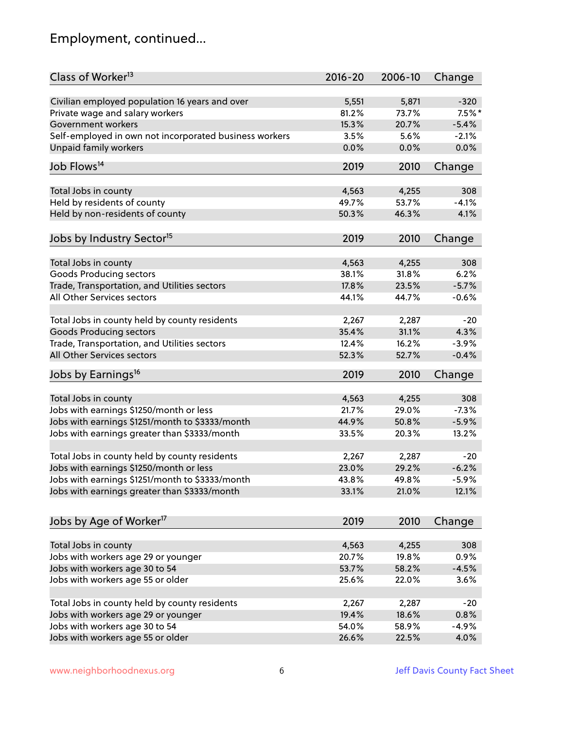# Employment, continued...

| Class of Worker <sup>13</sup>                          | $2016 - 20$    | 2006-10 | Change   |
|--------------------------------------------------------|----------------|---------|----------|
| Civilian employed population 16 years and over         | 5,551          | 5,871   | $-320$   |
| Private wage and salary workers                        | 81.2%          | 73.7%   | $7.5%$ * |
| Government workers                                     | 15.3%          | 20.7%   | $-5.4%$  |
| Self-employed in own not incorporated business workers | 3.5%           | 5.6%    | $-2.1%$  |
| <b>Unpaid family workers</b>                           | 0.0%           | 0.0%    | 0.0%     |
| Job Flows <sup>14</sup>                                | 2019           | 2010    |          |
|                                                        |                |         | Change   |
| Total Jobs in county                                   | 4,563          | 4,255   | 308      |
| Held by residents of county                            | 49.7%          | 53.7%   | $-4.1%$  |
| Held by non-residents of county                        | 50.3%          | 46.3%   | 4.1%     |
|                                                        |                |         |          |
| Jobs by Industry Sector <sup>15</sup>                  | 2019           | 2010    | Change   |
| Total Jobs in county                                   | 4,563          | 4,255   | 308      |
| Goods Producing sectors                                | 38.1%          | 31.8%   | 6.2%     |
| Trade, Transportation, and Utilities sectors           | 17.8%          | 23.5%   | $-5.7%$  |
| All Other Services sectors                             | 44.1%          | 44.7%   | $-0.6%$  |
|                                                        |                |         |          |
| Total Jobs in county held by county residents          | 2,267          | 2,287   | $-20$    |
| <b>Goods Producing sectors</b>                         | 35.4%          | 31.1%   | 4.3%     |
| Trade, Transportation, and Utilities sectors           | 12.4%          | 16.2%   | $-3.9%$  |
| All Other Services sectors                             | 52.3%          | 52.7%   | $-0.4%$  |
| Jobs by Earnings <sup>16</sup>                         | 2019           | 2010    | Change   |
|                                                        |                |         |          |
| Total Jobs in county                                   | 4,563          | 4,255   | 308      |
| Jobs with earnings \$1250/month or less                | 21.7%          | 29.0%   | $-7.3%$  |
| Jobs with earnings \$1251/month to \$3333/month        | 44.9%          | 50.8%   | $-5.9%$  |
| Jobs with earnings greater than \$3333/month           | 33.5%          | 20.3%   | 13.2%    |
| Total Jobs in county held by county residents          | 2,267          | 2,287   | $-20$    |
| Jobs with earnings \$1250/month or less                | 23.0%          | 29.2%   | $-6.2%$  |
| Jobs with earnings \$1251/month to \$3333/month        | 43.8%          | 49.8%   | -5.9%    |
| Jobs with earnings greater than \$3333/month           | 33.1%          | 21.0%   | 12.1%    |
|                                                        |                |         |          |
| Jobs by Age of Worker <sup>17</sup>                    | 2019           | 2010    | Change   |
|                                                        |                |         |          |
| Total Jobs in county                                   | 4,563<br>20.7% | 4,255   | 308      |
| Jobs with workers age 29 or younger                    |                | 19.8%   | 0.9%     |
| Jobs with workers age 30 to 54                         | 53.7%          | 58.2%   | $-4.5%$  |
| Jobs with workers age 55 or older                      | 25.6%          | 22.0%   | 3.6%     |
| Total Jobs in county held by county residents          | 2,267          | 2,287   | $-20$    |
| Jobs with workers age 29 or younger                    | 19.4%          | 18.6%   | 0.8%     |
| Jobs with workers age 30 to 54                         | 54.0%          | 58.9%   | $-4.9%$  |
| Jobs with workers age 55 or older                      | 26.6%          | 22.5%   | 4.0%     |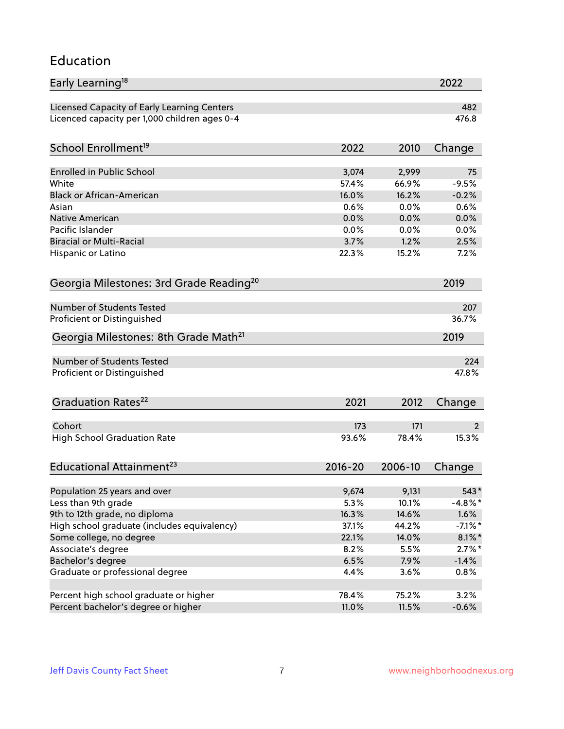#### Education

| Early Learning <sup>18</sup>                        |              |                | 2022       |
|-----------------------------------------------------|--------------|----------------|------------|
| Licensed Capacity of Early Learning Centers         |              |                | 482        |
| Licenced capacity per 1,000 children ages 0-4       |              |                | 476.8      |
| School Enrollment <sup>19</sup>                     | 2022         | 2010           | Change     |
|                                                     |              |                |            |
| <b>Enrolled in Public School</b>                    | 3,074        | 2,999          | 75         |
| White                                               | 57.4%        | 66.9%          | $-9.5%$    |
| <b>Black or African-American</b>                    | 16.0%        | 16.2%          | $-0.2%$    |
| Asian                                               | 0.6%         | 0.0%           | 0.6%       |
| Native American                                     | 0.0%         | 0.0%           | 0.0%       |
| Pacific Islander                                    | 0.0%         | 0.0%           | 0.0%       |
| <b>Biracial or Multi-Racial</b>                     | 3.7%         | 1.2%           | 2.5%       |
| Hispanic or Latino                                  | 22.3%        | 15.2%          | 7.2%       |
| Georgia Milestones: 3rd Grade Reading <sup>20</sup> |              |                | 2019       |
|                                                     |              |                |            |
| <b>Number of Students Tested</b>                    |              |                | 207        |
| Proficient or Distinguished                         |              |                | 36.7%      |
| Georgia Milestones: 8th Grade Math <sup>21</sup>    |              |                | 2019       |
| Number of Students Tested                           |              |                | 224        |
| Proficient or Distinguished                         |              |                | 47.8%      |
|                                                     |              |                |            |
| Graduation Rates <sup>22</sup>                      | 2021         | 2012           | Change     |
| Cohort                                              |              | 171            |            |
|                                                     | 173<br>93.6% | 78.4%          | 2<br>15.3% |
| <b>High School Graduation Rate</b>                  |              |                |            |
| Educational Attainment <sup>23</sup>                | $2016 - 20$  | 2006-10        | Change     |
|                                                     |              |                |            |
| Population 25 years and over                        | 9,674        | 9,131          | 543*       |
| Less than 9th grade                                 | 5.3%         | 10.1%          | $-4.8\%$ * |
| 9th to 12th grade, no diploma                       | 16.3%        | 14.6%<br>44.2% | 1.6%       |
| High school graduate (includes equivalency)         | 37.1%        |                | $-7.1\%$ * |
| Some college, no degree                             | 22.1%        | 14.0%          | $8.1\%$ *  |
| Associate's degree                                  | 8.2%         | 5.5%           | $2.7\%$ *  |
| Bachelor's degree                                   | 6.5%         | 7.9%           | $-1.4%$    |
| Graduate or professional degree                     | 4.4%         | 3.6%           | 0.8%       |
| Percent high school graduate or higher              | 78.4%        | 75.2%          | 3.2%       |
| Percent bachelor's degree or higher                 | 11.0%        | 11.5%          | $-0.6%$    |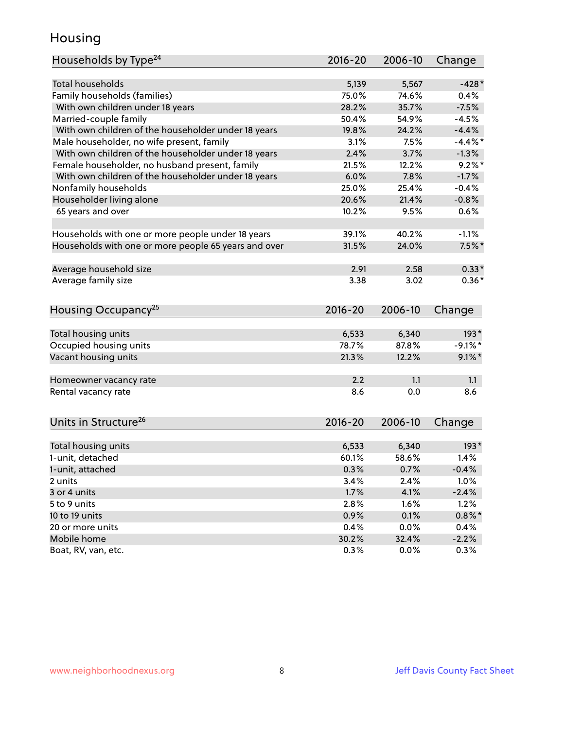#### Housing

| Households by Type <sup>24</sup>                     | 2016-20       | 2006-10 | Change          |
|------------------------------------------------------|---------------|---------|-----------------|
|                                                      |               |         |                 |
| <b>Total households</b>                              | 5,139         | 5,567   | $-428*$         |
| Family households (families)                         | 75.0%         | 74.6%   | 0.4%            |
| With own children under 18 years                     | 28.2%         | 35.7%   | $-7.5%$         |
| Married-couple family                                | 50.4%         | 54.9%   | $-4.5%$         |
| With own children of the householder under 18 years  | 19.8%         | 24.2%   | $-4.4%$         |
| Male householder, no wife present, family            | 3.1%          | 7.5%    | $-4.4\%$ *      |
| With own children of the householder under 18 years  | 2.4%          | 3.7%    | $-1.3%$         |
| Female householder, no husband present, family       | 21.5%         | 12.2%   | $9.2\%$ *       |
| With own children of the householder under 18 years  | 6.0%          | 7.8%    | $-1.7%$         |
| Nonfamily households                                 | 25.0%         | 25.4%   | $-0.4%$         |
| Householder living alone                             | 20.6%         | 21.4%   | $-0.8%$         |
| 65 years and over                                    | 10.2%         | 9.5%    | 0.6%            |
| Households with one or more people under 18 years    | 39.1%         | 40.2%   | $-1.1%$         |
| Households with one or more people 65 years and over | 31.5%         | 24.0%   | $7.5\%$ *       |
|                                                      |               |         |                 |
| Average household size                               | 2.91          | 2.58    | $0.33*$         |
| Average family size                                  | 3.38          | 3.02    | $0.36*$         |
| Housing Occupancy <sup>25</sup>                      | $2016 - 20$   | 2006-10 | Change          |
|                                                      |               |         |                 |
| Total housing units                                  | 6,533         | 6,340   | $193*$          |
| Occupied housing units                               | 78.7%         | 87.8%   | $-9.1\%$ *      |
| Vacant housing units                                 | 21.3%         | 12.2%   | $9.1\%$ *       |
| Homeowner vacancy rate                               | 2.2           | 1.1     | 1.1             |
| Rental vacancy rate                                  | 8.6           | 0.0     | 8.6             |
|                                                      |               |         |                 |
| Units in Structure <sup>26</sup>                     | $2016 - 20$   | 2006-10 | Change          |
| Total housing units                                  | 6,533         | 6,340   | $193*$          |
| 1-unit, detached                                     | 60.1%         | 58.6%   | 1.4%            |
| 1-unit, attached                                     | 0.3%          | 0.7%    | $-0.4%$         |
| 2 units                                              | 3.4%          | 2.4%    | 1.0%            |
| 3 or 4 units                                         | 1.7%          | 4.1%    | $-2.4%$         |
| 5 to 9 units                                         | 2.8%          | 1.6%    | 1.2%            |
| 10 to 19 units                                       | 0.9%          | 0.1%    | $0.8\%$ *       |
| 20 or more units                                     |               | 0.0%    |                 |
| Mobile home                                          | 0.4%<br>30.2% | 32.4%   | 0.4%<br>$-2.2%$ |
| Boat, RV, van, etc.                                  | 0.3%          | 0.0%    | 0.3%            |
|                                                      |               |         |                 |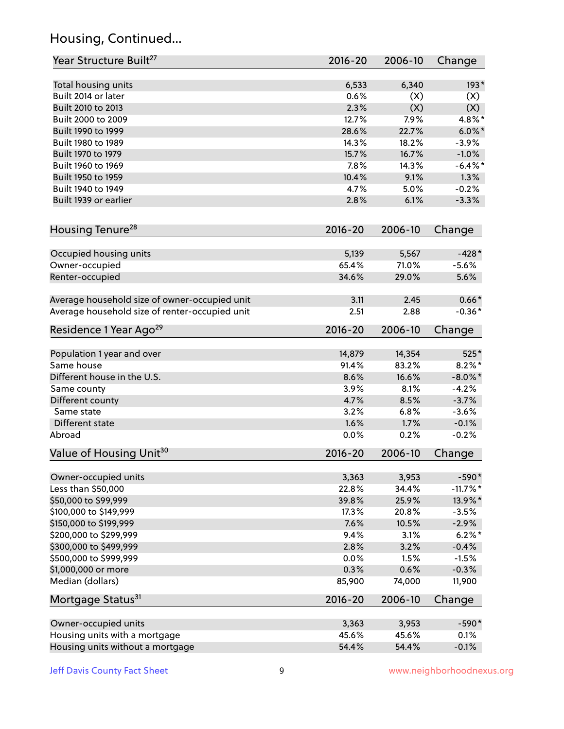# Housing, Continued...

| Year Structure Built <sup>27</sup>             | 2016-20     | 2006-10 | Change      |
|------------------------------------------------|-------------|---------|-------------|
| Total housing units                            | 6,533       | 6,340   | 193*        |
| Built 2014 or later                            | 0.6%        | (X)     | (X)         |
| Built 2010 to 2013                             | 2.3%        | (X)     | (X)         |
| Built 2000 to 2009                             | 12.7%       | 7.9%    | 4.8%*       |
| Built 1990 to 1999                             | 28.6%       | 22.7%   | $6.0\%$ *   |
| Built 1980 to 1989                             | 14.3%       | 18.2%   | $-3.9%$     |
| Built 1970 to 1979                             | 15.7%       | 16.7%   | $-1.0%$     |
| Built 1960 to 1969                             | 7.8%        | 14.3%   | $-6.4\%$ *  |
| Built 1950 to 1959                             | 10.4%       | 9.1%    | 1.3%        |
| Built 1940 to 1949                             | 4.7%        | 5.0%    | $-0.2%$     |
| Built 1939 or earlier                          | 2.8%        | 6.1%    | $-3.3%$     |
| Housing Tenure <sup>28</sup>                   | $2016 - 20$ | 2006-10 | Change      |
| Occupied housing units                         | 5,139       | 5,567   | $-428*$     |
| Owner-occupied                                 | 65.4%       | 71.0%   | $-5.6%$     |
| Renter-occupied                                | 34.6%       | 29.0%   | 5.6%        |
| Average household size of owner-occupied unit  | 3.11        | 2.45    | $0.66*$     |
| Average household size of renter-occupied unit | 2.51        | 2.88    | $-0.36*$    |
| Residence 1 Year Ago <sup>29</sup>             | 2016-20     | 2006-10 | Change      |
| Population 1 year and over                     | 14,879      | 14,354  | 525*        |
| Same house                                     | 91.4%       | 83.2%   | $8.2\%$ *   |
| Different house in the U.S.                    | 8.6%        | 16.6%   | $-8.0\%$ *  |
| Same county                                    | 3.9%        | 8.1%    | $-4.2%$     |
| Different county                               | 4.7%        | 8.5%    | $-3.7%$     |
| Same state                                     | 3.2%        | 6.8%    | $-3.6%$     |
| Different state                                | 1.6%        | 1.7%    | $-0.1%$     |
| Abroad                                         | 0.0%        | 0.2%    | $-0.2%$     |
| Value of Housing Unit <sup>30</sup>            | $2016 - 20$ | 2006-10 | Change      |
| Owner-occupied units                           | 3,363       | 3,953   | $-590*$     |
| Less than \$50,000                             | 22.8%       | 34.4%   | $-11.7\%$ * |
| \$50,000 to \$99,999                           | 39.8%       | 25.9%   | 13.9%*      |
| \$100,000 to \$149,999                         | 17.3%       | 20.8%   | $-3.5%$     |
| \$150,000 to \$199,999                         | 7.6%        | 10.5%   | $-2.9%$     |
| \$200,000 to \$299,999                         | 9.4%        | 3.1%    | $6.2\%$ *   |
| \$300,000 to \$499,999                         | 2.8%        | 3.2%    | $-0.4%$     |
| \$500,000 to \$999,999                         | 0.0%        | 1.5%    | $-1.5%$     |
| \$1,000,000 or more                            | 0.3%        | 0.6%    | $-0.3%$     |
| Median (dollars)                               | 85,900      | 74,000  | 11,900      |
| Mortgage Status <sup>31</sup>                  | 2016-20     | 2006-10 | Change      |
| Owner-occupied units                           | 3,363       | 3,953   | $-590*$     |
| Housing units with a mortgage                  | 45.6%       | 45.6%   | 0.1%        |
| Housing units without a mortgage               | 54.4%       | 54.4%   | $-0.1%$     |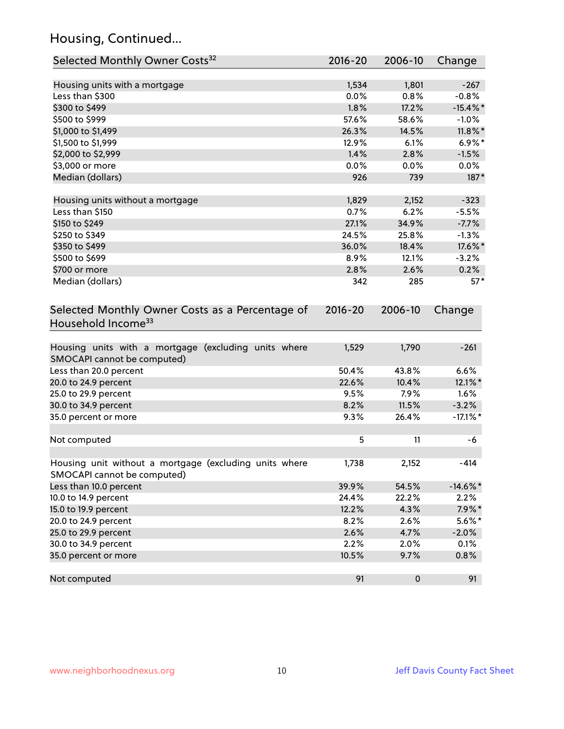# Housing, Continued...

| Selected Monthly Owner Costs <sup>32</sup>                                            | 2016-20       | 2006-10       | Change      |
|---------------------------------------------------------------------------------------|---------------|---------------|-------------|
| Housing units with a mortgage                                                         | 1,534         | 1,801         | $-267$      |
| Less than \$300                                                                       | 0.0%          | 0.8%          | $-0.8%$     |
| \$300 to \$499                                                                        | 1.8%          | 17.2%         | $-15.4\%$ * |
| \$500 to \$999                                                                        | 57.6%         | 58.6%         | $-1.0%$     |
| \$1,000 to \$1,499                                                                    | 26.3%         | 14.5%         | $11.8\%$ *  |
| \$1,500 to \$1,999                                                                    | 12.9%         | 6.1%          | $6.9\%*$    |
| \$2,000 to \$2,999                                                                    | 1.4%          | 2.8%          | $-1.5%$     |
| \$3,000 or more                                                                       | 0.0%          | 0.0%          | $0.0\%$     |
| Median (dollars)                                                                      | 926           | 739           | 187*        |
|                                                                                       |               |               | $-323$      |
| Housing units without a mortgage<br>Less than \$150                                   | 1,829<br>0.7% | 2,152<br>6.2% | $-5.5%$     |
| \$150 to \$249                                                                        | 27.1%         | 34.9%         | $-7.7%$     |
| \$250 to \$349                                                                        | 24.5%         | 25.8%         | $-1.3%$     |
| \$350 to \$499                                                                        | 36.0%         | 18.4%         | 17.6%*      |
| \$500 to \$699                                                                        | 8.9%          | 12.1%         | $-3.2%$     |
| \$700 or more                                                                         | 2.8%          | 2.6%          | 0.2%        |
| Median (dollars)                                                                      | 342           | 285           | $57*$       |
| Selected Monthly Owner Costs as a Percentage of<br>Household Income <sup>33</sup>     | $2016 - 20$   | 2006-10       | Change      |
| Housing units with a mortgage (excluding units where<br>SMOCAPI cannot be computed)   | 1,529         | 1,790         | $-261$      |
| Less than 20.0 percent                                                                | 50.4%         | 43.8%         | 6.6%        |
| 20.0 to 24.9 percent                                                                  | 22.6%         | 10.4%         | 12.1%*      |
| 25.0 to 29.9 percent                                                                  | 9.5%          | 7.9%          | 1.6%        |
| 30.0 to 34.9 percent                                                                  | 8.2%          | 11.5%         | $-3.2%$     |
| 35.0 percent or more                                                                  | 9.3%          | 26.4%         | $-17.1\%$ * |
| Not computed                                                                          | 5             | 11            | -6          |
| Housing unit without a mortgage (excluding units where<br>SMOCAPI cannot be computed) | 1,738         | 2,152         | $-414$      |
| Less than 10.0 percent                                                                | 39.9%         | 54.5%         | $-14.6\%$ * |
| 10.0 to 14.9 percent                                                                  | 24.4%         | 22.2%         | 2.2%        |
| 15.0 to 19.9 percent                                                                  | 12.2%         | 4.3%          | $7.9\%*$    |
| 20.0 to 24.9 percent                                                                  | 8.2%          | 2.6%          | $5.6\%*$    |
| 25.0 to 29.9 percent                                                                  | 2.6%          | 4.7%          | $-2.0%$     |
| 30.0 to 34.9 percent                                                                  | 2.2%          | 2.0%          | 0.1%        |
| 35.0 percent or more                                                                  | 10.5%         | 9.7%          | 0.8%        |
| Not computed                                                                          | 91            | $\pmb{0}$     | 91          |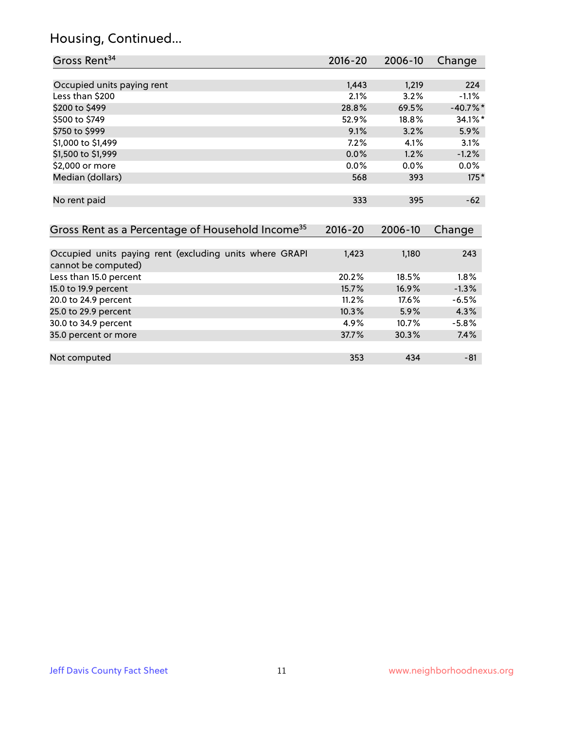# Housing, Continued...

| Gross Rent <sup>34</sup>                                                       | $2016 - 20$ | 2006-10 | Change     |
|--------------------------------------------------------------------------------|-------------|---------|------------|
|                                                                                |             |         |            |
| Occupied units paying rent                                                     | 1,443       | 1,219   | 224        |
| Less than \$200                                                                | 2.1%        | 3.2%    | $-1.1%$    |
| \$200 to \$499                                                                 | 28.8%       | 69.5%   | $-40.7%$ * |
| \$500 to \$749                                                                 | 52.9%       | 18.8%   | 34.1%*     |
| \$750 to \$999                                                                 | 9.1%        | 3.2%    | 5.9%       |
| \$1,000 to \$1,499                                                             | 7.2%        | 4.1%    | 3.1%       |
| \$1,500 to \$1,999                                                             | 0.0%        | 1.2%    | $-1.2%$    |
| \$2,000 or more                                                                | 0.0%        | $0.0\%$ | 0.0%       |
| Median (dollars)                                                               | 568         | 393     | $175*$     |
| No rent paid                                                                   | 333         | 395     | $-62$      |
| Gross Rent as a Percentage of Household Income <sup>35</sup>                   | $2016 - 20$ | 2006-10 | Change     |
|                                                                                |             |         |            |
| Occupied units paying rent (excluding units where GRAPI<br>cannot be computed) | 1,423       | 1,180   | 243        |
| Less than 15.0 percent                                                         | 20.2%       | 18.5%   | 1.8%       |
| 15.0 to 19.9 percent                                                           | 15.7%       | 16.9%   | $-1.3%$    |
| 20.0 to 24.9 percent                                                           | 11.2%       | 17.6%   | $-6.5%$    |
| 25.0 to 29.9 percent                                                           | 10.3%       | 5.9%    | 4.3%       |
| 30.0 to 34.9 percent                                                           | 4.9%        | 10.7%   | $-5.8%$    |
| 35.0 percent or more                                                           | 37.7%       | 30.3%   | 7.4%       |
|                                                                                | 353         | 434     | $-81$      |
| Not computed                                                                   |             |         |            |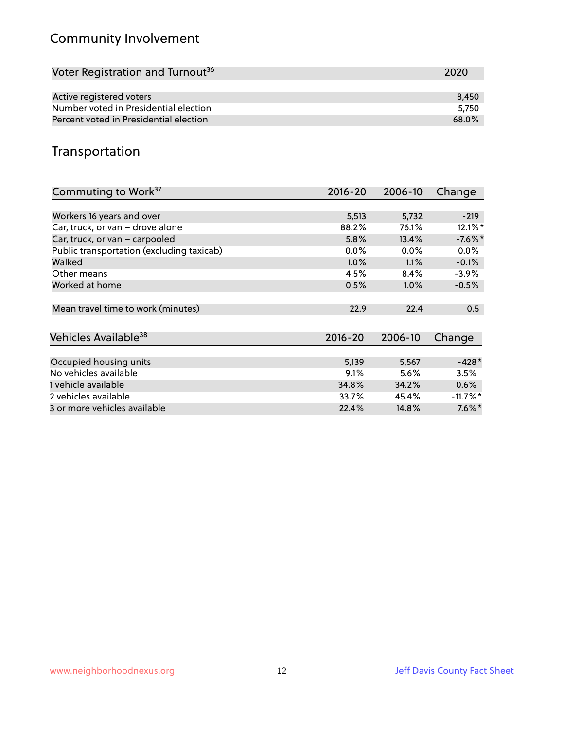# Community Involvement

| Voter Registration and Turnout <sup>36</sup> | 2020  |
|----------------------------------------------|-------|
|                                              |       |
| Active registered voters                     | 8.450 |
| Number voted in Presidential election        | 5.750 |
| Percent voted in Presidential election       | 68.0% |

#### Transportation

| Commuting to Work <sup>37</sup>           | 2016-20     | 2006-10 | Change      |
|-------------------------------------------|-------------|---------|-------------|
|                                           |             |         |             |
| Workers 16 years and over                 | 5,513       | 5,732   | $-219$      |
| Car, truck, or van - drove alone          | 88.2%       | 76.1%   | 12.1%*      |
| Car, truck, or van - carpooled            | 5.8%        | 13.4%   | $-7.6%$     |
| Public transportation (excluding taxicab) | $0.0\%$     | $0.0\%$ | $0.0\%$     |
| Walked                                    | $1.0\%$     | 1.1%    | $-0.1%$     |
| Other means                               | 4.5%        | 8.4%    | $-3.9\%$    |
| Worked at home                            | 0.5%        | $1.0\%$ | $-0.5%$     |
|                                           |             |         |             |
| Mean travel time to work (minutes)        | 22.9        | 22.4    | 0.5         |
|                                           |             |         |             |
| Vehicles Available <sup>38</sup>          | $2016 - 20$ | 2006-10 | Change      |
|                                           |             |         |             |
| Occupied housing units                    | 5,139       | 5,567   | $-428*$     |
| No vehicles available                     | 9.1%        | 5.6%    | 3.5%        |
| 1 vehicle available                       | 34.8%       | 34.2%   | 0.6%        |
| 2 vehicles available                      | 33.7%       | 45.4%   | $-11.7\%$ * |
| 3 or more vehicles available              | 22.4%       | 14.8%   | $7.6\%$ *   |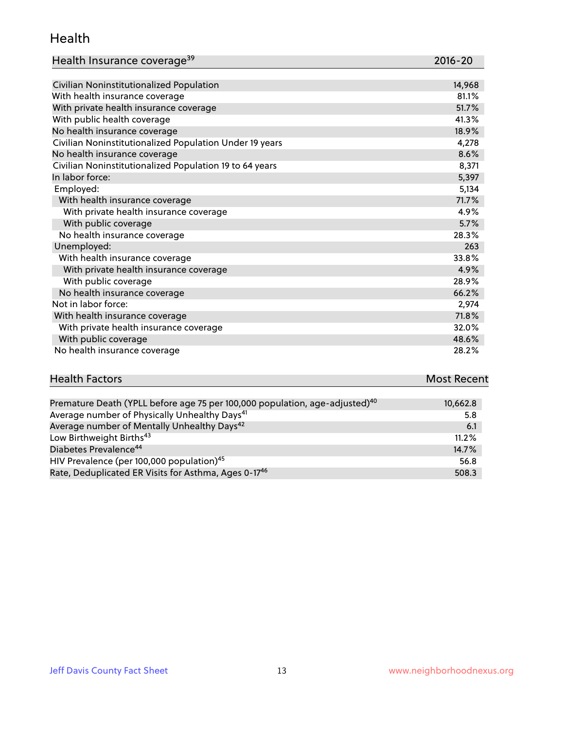#### Health

| Health Insurance coverage <sup>39</sup> | 2016-20 |
|-----------------------------------------|---------|
|-----------------------------------------|---------|

| Civilian Noninstitutionalized Population                | 14,968 |
|---------------------------------------------------------|--------|
| With health insurance coverage                          | 81.1%  |
| With private health insurance coverage                  | 51.7%  |
| With public health coverage                             | 41.3%  |
| No health insurance coverage                            | 18.9%  |
| Civilian Noninstitutionalized Population Under 19 years | 4,278  |
| No health insurance coverage                            | 8.6%   |
| Civilian Noninstitutionalized Population 19 to 64 years | 8,371  |
| In labor force:                                         | 5,397  |
| Employed:                                               | 5,134  |
| With health insurance coverage                          | 71.7%  |
| With private health insurance coverage                  | 4.9%   |
| With public coverage                                    | 5.7%   |
| No health insurance coverage                            | 28.3%  |
| Unemployed:                                             | 263    |
| With health insurance coverage                          | 33.8%  |
| With private health insurance coverage                  | 4.9%   |
| With public coverage                                    | 28.9%  |
| No health insurance coverage                            | 66.2%  |
| Not in labor force:                                     | 2,974  |
| With health insurance coverage                          | 71.8%  |
| With private health insurance coverage                  | 32.0%  |
| With public coverage                                    | 48.6%  |
| No health insurance coverage                            | 28.2%  |

# **Health Factors Most Recent** And The Control of the Control of The Control of The Control of The Control of The Control of The Control of The Control of The Control of The Control of The Control of The Control of The Contr

| Premature Death (YPLL before age 75 per 100,000 population, age-adjusted) <sup>40</sup> | 10,662.8 |
|-----------------------------------------------------------------------------------------|----------|
| Average number of Physically Unhealthy Days <sup>41</sup>                               | 5.8      |
| Average number of Mentally Unhealthy Days <sup>42</sup>                                 | 6.1      |
| Low Birthweight Births <sup>43</sup>                                                    | 11.2%    |
| Diabetes Prevalence <sup>44</sup>                                                       | 14.7%    |
| HIV Prevalence (per 100,000 population) <sup>45</sup>                                   | 56.8     |
| Rate, Deduplicated ER Visits for Asthma, Ages 0-17 <sup>46</sup>                        | 508.3    |